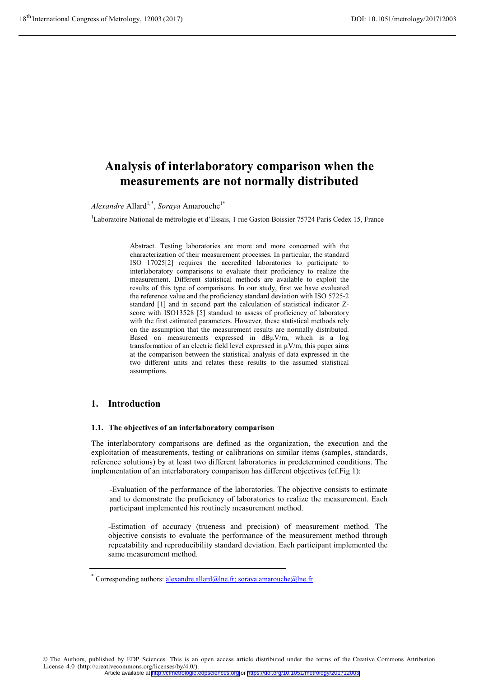# **Analysis of interlaboratory comparison when the measurements are not normally distributed**

*Alexandre* Allard<sup>1,\*</sup>, *Soraya* Amarouche<sup>1\*</sup>

<sup>1</sup>Laboratoire National de métrologie et d'Essais, 1 rue Gaston Boissier 75724 Paris Cedex 15, France

Abstract. Testing laboratories are more and more concerned with the characterization of their measurement processes. In particular, the standard ISO 17025[2] requires the accredited laboratories to participate to interlaboratory comparisons to evaluate their proficiency to realize the measurement. Different statistical methods are available to exploit the results of this type of comparisons. In our study, first we have evaluated the reference value and the proficiency standard deviation with ISO 5725-2 standard [1] and in second part the calculation of statistical indicator Zscore with ISO13528 [5] standard to assess of proficiency of laboratory with the first estimated parameters. However, these statistical methods rely on the assumption that the measurement results are normally distributed. Based on measurements expressed in dBµV/m, which is a log transformation of an electric field level expressed in  $\mu$ V/m, this paper aims at the comparison between the statistical analysis of data expressed in the two different units and relates these results to the assumed statistical assumptions.

## **1. Introduction**

### **1.1. The objectives of an interlaboratory comparison**

The interlaboratory comparisons are defined as the organization, the execution and the exploitation of measurements, testing or calibrations on similar items (samples, standards, reference solutions) by at least two different laboratories in predetermined conditions. The implementation of an interlaboratory comparison has different objectives (cf.Fig 1):

-Evaluation of the performance of the laboratories. The objective consists to estimate and to demonstrate the proficiency of laboratories to realize the measurement. Each participant implemented his routinely measurement method.

-Estimation of accuracy (trueness and precision) of measurement method. The objective consists to evaluate the performance of the measurement method through repeatability and reproducibility standard deviation. Each participant implemented the same measurement method.

© The Authors, published by EDP Sciences. This is an open access article distributed under the terms of the Creative Commons Attribution License 4.0 (http://creativecommons.org/licenses/by/4.0/). Article available at <http://cfmetrologie.edpsciences.org> or <https://doi.org/10.1051/metrology/201712003>

Corresponding authors:  $\frac{alexandre.allard@lne.fr}{allard@lne.fr}$ ; soraya.amarouche@lne.fr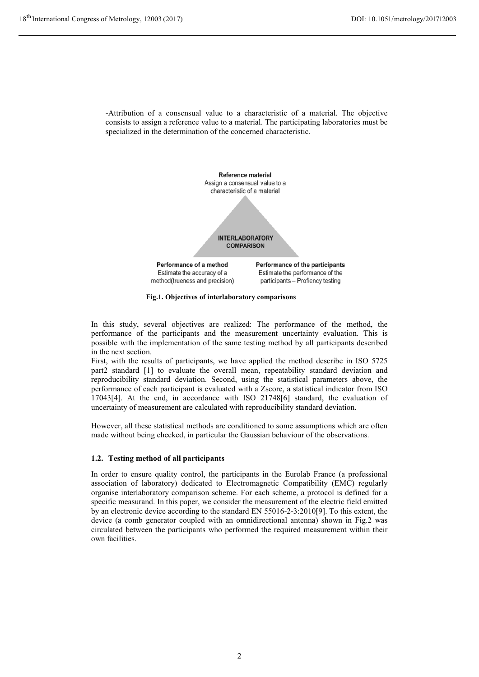-Attribution of a consensual value to a characteristic of a material. The objective consists to assign a reference value to a material. The participating laboratories must be specialized in the determination of the concerned characteristic.



**Fig.1. Objectives of interlaboratory comparisons**

In this study, several objectives are realized: The performance of the method, the performance of the participants and the measurement uncertainty evaluation. This is possible with the implementation of the same testing method by all participants described in the next section.

First, with the results of participants, we have applied the method describe in ISO 5725 part2 standard [1] to evaluate the overall mean, repeatability standard deviation and reproducibility standard deviation. Second, using the statistical parameters above, the performance of each participant is evaluated with a Zscore, a statistical indicator from ISO 17043[4]. At the end, in accordance with ISO 21748[6] standard, the evaluation of uncertainty of measurement are calculated with reproducibility standard deviation.

However, all these statistical methods are conditioned to some assumptions which are often made without being checked, in particular the Gaussian behaviour of the observations.

## **1.2. Testing method of all participants**

In order to ensure quality control, the participants in the Eurolab France (a professional association of laboratory) dedicated to Electromagnetic Compatibility (EMC) regularly organise interlaboratory comparison scheme. For each scheme, a protocol is defined for a specific measurand. In this paper, we consider the measurement of the electric field emitted by an electronic device according to the standard EN 55016-2-3:2010[9]. To this extent, the device (a comb generator coupled with an omnidirectional antenna) shown in Fig.2 was circulated between the participants who performed the required measurement within their own facilities.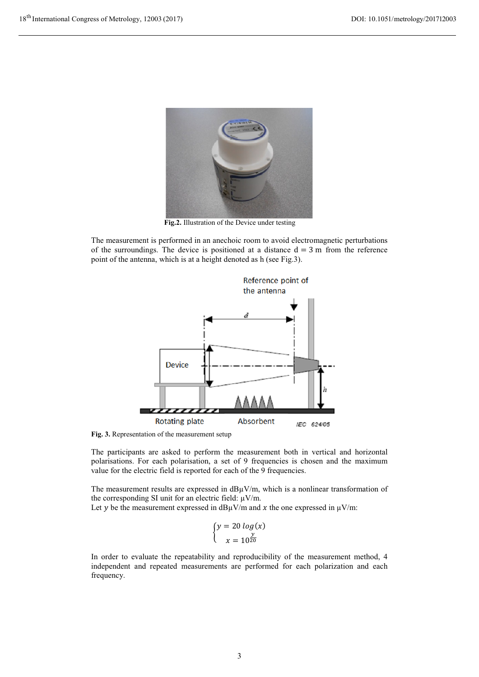

**Fig.2.** Illustration of the Device under testing

The measurement is performed in an anechoic room to avoid electromagnetic perturbations of the surroundings. The device is positioned at a distance  $d = 3$  m from the reference point of the antenna, which is at a height denoted as h (see Fig.3).



**Fig. 3.** Representation of the measurement setup

The participants are asked to perform the measurement both in vertical and horizontal polarisations. For each polarisation, a set of 9 frequencies is chosen and the maximum value for the electric field is reported for each of the 9 frequencies.

The measurement results are expressed in  $dB\mu V/m$ , which is a nonlinear transformation of the corresponding SI unit for an electric field:  $\mu$ V/m.

Let y be the measurement expressed in dB $\mu$ V/m and x the one expressed in  $\mu$ V/m:

$$
\begin{cases}\ny = 20 \log(x) \\
x = 10^{\frac{y}{20}}\n\end{cases}
$$

In order to evaluate the repeatability and reproducibility of the measurement method, 4 independent and repeated measurements are performed for each polarization and each frequency.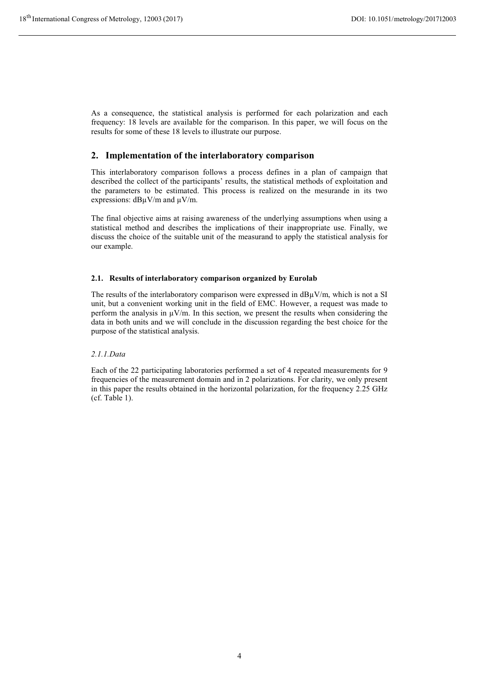As a consequence, the statistical analysis is performed for each polarization and each frequency: 18 levels are available for the comparison. In this paper, we will focus on the results for some of these 18 levels to illustrate our purpose.

# **2. Implementation of the interlaboratory comparison**

This interlaboratory comparison follows a process defines in a plan of campaign that described the collect of the participants' results, the statistical methods of exploitation and the parameters to be estimated. This process is realized on the mesurande in its two expressions:  $d$ B $\mu$ V/m and  $\mu$ V/m.

The final objective aims at raising awareness of the underlying assumptions when using a statistical method and describes the implications of their inappropriate use. Finally, we discuss the choice of the suitable unit of the measurand to apply the statistical analysis for our example.

## **2.1. Results of interlaboratory comparison organized by Eurolab**

The results of the interlaboratory comparison were expressed in  $d$ B $\mu$ V/m, which is not a SI unit, but a convenient working unit in the field of EMC. However, a request was made to perform the analysis in  $\mu$ V/m. In this section, we present the results when considering the data in both units and we will conclude in the discussion regarding the best choice for the purpose of the statistical analysis.

## *2.1.1.Data*

Each of the 22 participating laboratories performed a set of 4 repeated measurements for 9 frequencies of the measurement domain and in 2 polarizations. For clarity, we only present in this paper the results obtained in the horizontal polarization, for the frequency 2.25 GHz (cf. Table 1).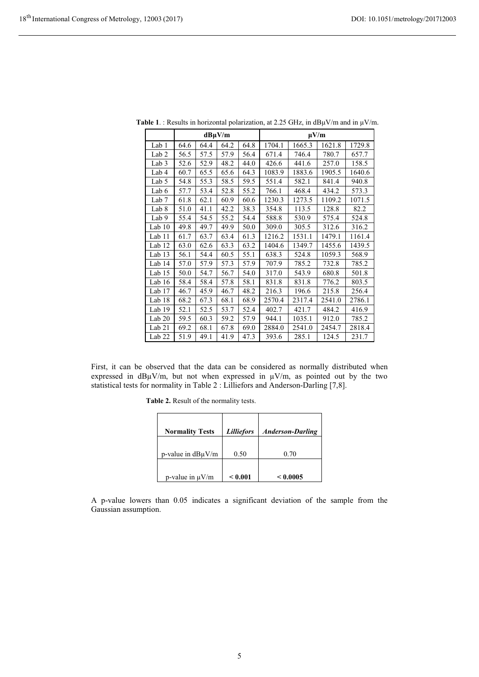|                   | $dB\mu V/m$ |      |      | $\mu V/m$ |        |        |        |        |
|-------------------|-------------|------|------|-----------|--------|--------|--------|--------|
| Lab 1             | 64.6        | 64.4 | 64.2 | 64.8      | 1704.1 | 1665.3 | 1621.8 | 1729.8 |
| Lab <sub>2</sub>  | 56.5        | 57.5 | 57.9 | 56.4      | 671.4  | 746.4  | 780.7  | 657.7  |
| Lab <sub>3</sub>  | 52.6        | 52.9 | 48.2 | 44.0      | 426.6  | 441.6  | 257.0  | 158.5  |
| Lab 4             | 60.7        | 65.5 | 65.6 | 64.3      | 1083.9 | 1883.6 | 1905.5 | 1640.6 |
| Lab 5             | 54.8        | 55.3 | 58.5 | 59.5      | 551.4  | 582.1  | 841.4  | 940.8  |
| Lab 6             | 57.7        | 53.4 | 52.8 | 55.2      | 766.1  | 468.4  | 434.2  | 573.3  |
| Lab <sub>7</sub>  | 61.8        | 62.1 | 60.9 | 60.6      | 1230.3 | 1273.5 | 1109.2 | 1071.5 |
| Lab 8             | 51.0        | 41.1 | 42.2 | 38.3      | 354.8  | 113.5  | 128.8  | 82.2   |
| Lab 9             | 55.4        | 54.5 | 55.2 | 54.4      | 588.8  | 530.9  | 575.4  | 524.8  |
| Lab $10$          | 49.8        | 49.7 | 49.9 | 50.0      | 309.0  | 305.5  | 312.6  | 316.2  |
| Lab 11            | 61.7        | 63.7 | 63.4 | 61.3      | 1216.2 | 1531.1 | 1479.1 | 1161.4 |
| Lab 12            | 63.0        | 62.6 | 63.3 | 63.2      | 1404.6 | 1349.7 | 1455.6 | 1439.5 |
| Lab 13            | 56.1        | 54.4 | 60.5 | 55.1      | 638.3  | 524.8  | 1059.3 | 568.9  |
| Lab 14            | 57.0        | 57.9 | 57.3 | 57.9      | 707.9  | 785.2  | 732.8  | 785.2  |
| Lab 15            | 50.0        | 54.7 | 56.7 | 54.0      | 317.0  | 543.9  | 680.8  | 501.8  |
| Lab 16            | 58.4        | 58.4 | 57.8 | 58.1      | 831.8  | 831.8  | 776.2  | 803.5  |
| Lab 17            | 46.7        | 45.9 | 46.7 | 48.2      | 216.3  | 196.6  | 215.8  | 256.4  |
| Lab 18            | 68.2        | 67.3 | 68.1 | 68.9      | 2570.4 | 2317.4 | 2541.0 | 2786.1 |
| Lab 19            | 52.1        | 52.5 | 53.7 | 52.4      | 402.7  | 421.7  | 484.2  | 416.9  |
| Lab $20$          | 59.5        | 60.3 | 59.2 | 57.9      | 944.1  | 1035.1 | 912.0  | 785.2  |
| Lab $21$          | 69.2        | 68.1 | 67.8 | 69.0      | 2884.0 | 2541.0 | 2454.7 | 2818.4 |
| Lab <sub>22</sub> | 51.9        | 49.1 | 41.9 | 47.3      | 393.6  | 285.1  | 124.5  | 231.7  |

**Table 1**. : Results in horizontal polarization, at 2.25 GHz, in  $dB\mu V/m$  and in  $\mu V/m$ .

First, it can be observed that the data can be considered as normally distributed when expressed in  $dB\mu V/m$ , but not when expressed in  $\mu V/m$ , as pointed out by the two statistical tests for normality in Table 2 : Lilliefors and Anderson-Darling [7,8].

**Table 2.** Result of the normality tests.

| <b>Normality Tests</b> | <i>Lilliefors</i> | <b>Anderson-Darling</b> |
|------------------------|-------------------|-------------------------|
| p-value in $dB\mu V/m$ | 0.50              | 0.70                    |
| p-value in $\mu$ V/m   | ${}_{<0.001}$     | < 0.0005                |

A p-value lowers than 0.05 indicates a significant deviation of the sample from the Gaussian assumption.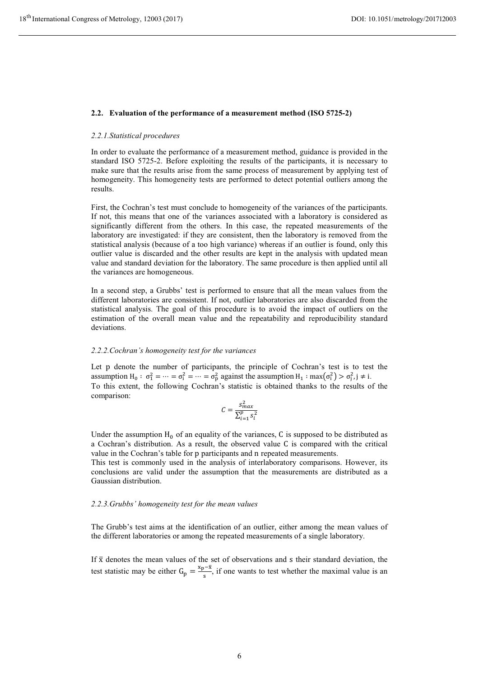#### **2.2. Evaluation of the performance of a measurement method (ISO 5725-2)**

#### *2.2.1.Statistical procedures*

In order to evaluate the performance of a measurement method, guidance is provided in the standard ISO 5725-2. Before exploiting the results of the participants, it is necessary to make sure that the results arise from the same process of measurement by applying test of homogeneity. This homogeneity tests are performed to detect potential outliers among the results.

First, the Cochran's test must conclude to homogeneity of the variances of the participants. If not, this means that one of the variances associated with a laboratory is considered as significantly different from the others. In this case, the repeated measurements of the laboratory are investigated: if they are consistent, then the laboratory is removed from the statistical analysis (because of a too high variance) whereas if an outlier is found, only this outlier value is discarded and the other results are kept in the analysis with updated mean value and standard deviation for the laboratory. The same procedure is then applied until all the variances are homogeneous.

In a second step, a Grubbs' test is performed to ensure that all the mean values from the different laboratories are consistent. If not, outlier laboratories are also discarded from the statistical analysis. The goal of this procedure is to avoid the impact of outliers on the estimation of the overall mean value and the repeatability and reproducibility standard deviations.

#### *2.2.2.Cochran's homogeneity test for the variances*

Let p denote the number of participants, the principle of Cochran's test is to test the assumption  $H_0: \sigma_1^2 = \cdots = \sigma_i^2 = \cdots = \sigma_p^2$  against the assumption  $H_1: \max(\sigma_i^2) > \sigma_i^2, j \neq i$ . To this extent, the following Cochran's statistic is obtained thanks to the results of the comparison:

$$
C = \frac{s_{max}^2}{\sum_{i=1}^p s_i^2}
$$

Under the assumption  $H_0$  of an equality of the variances, C is supposed to be distributed as a Cochran's distribution. As a result, the observed value C is compared with the critical value in the Cochran's table for p participants and n repeated measurements.

This test is commonly used in the analysis of interlaboratory comparisons. However, its conclusions are valid under the assumption that the measurements are distributed as a Gaussian distribution.

#### *2.2.3.Grubbs' homogeneity test for the mean values*

The Grubb's test aims at the identification of an outlier, either among the mean values of the different laboratories or among the repeated measurements of a single laboratory.

If  $\bar{x}$  denotes the mean values of the set of observations and s their standard deviation, the test statistic may be either  $G_p = \frac{x_p - \bar{x}}{s}$ , if one wants to test whether the maximal value is an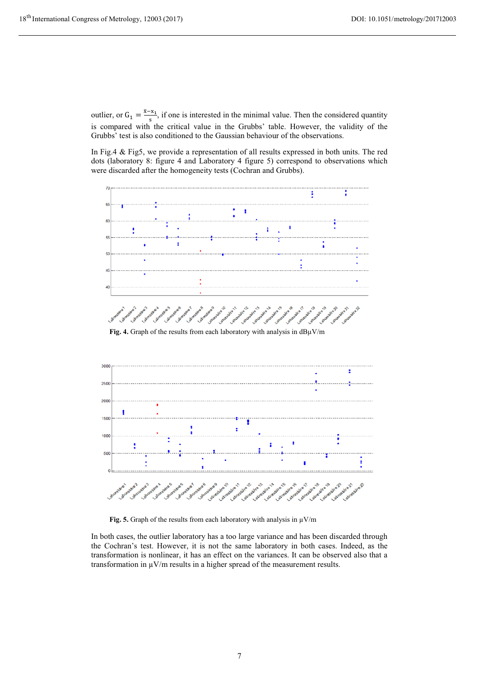outlier, or  $G_1 = \frac{\bar{x} - x_1}{s}$ , if one is interested in the minimal value. Then the considered quantity is compared with the critical value in the Grubbs' table. However, the validity of the Grubbs' test is also conditioned to the Gaussian behaviour of the observations.

In Fig.4 & Fig5, we provide a representation of all results expressed in both units. The red dots (laboratory 8: figure 4 and Laboratory 4 figure 5) correspond to observations which were discarded after the homogeneity tests (Cochran and Grubbs).







**Fig. 5.** Graph of the results from each laboratory with analysis in  $\mu$ V/m

In both cases, the outlier laboratory has a too large variance and has been discarded through the Cochran's test. However, it is not the same laboratory in both cases. Indeed, as the transformation is nonlinear, it has an effect on the variances. It can be observed also that a transformation in  $\mu$ V/m results in a higher spread of the measurement results.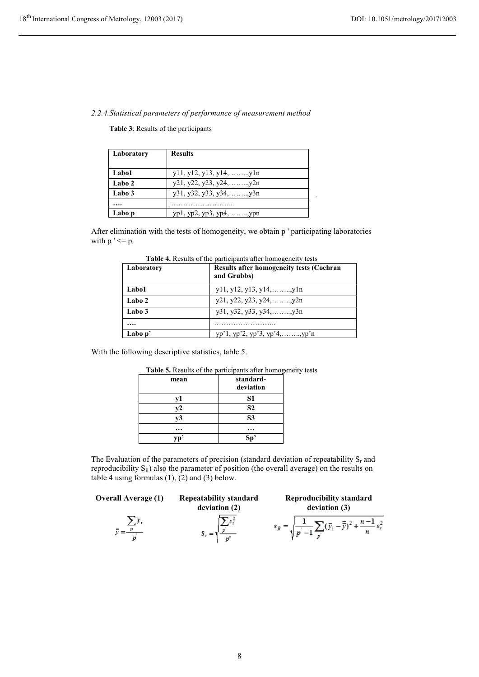### *2.2.4.Statistical parameters of performance of measurement method*

**Table 3**: Results of the participants

| Laboratory | <b>Results</b>                    |
|------------|-----------------------------------|
|            |                                   |
| Labo1      | $y11, y12, y13, y14, \ldots, y1n$ |
| Labo 2     | $y21, y22, y23, y24, \ldots, y2n$ |
| Labo 3     | $y31, y32, y33, y34, \ldots, y3n$ |
|            |                                   |
| Labo p     | $yp1, yp2, yp3, yp4, \ldots, ypn$ |

After elimination with the tests of homogeneity, we obtain p ' participating laboratories with  $p' \leq p$ .

| Laboratory | <b>Results after homogeneity tests (Cochran</b><br>and Grubbs) |
|------------|----------------------------------------------------------------|
| Labo1      | $y11, y12, y13, y14, \ldots, y1n$                              |
| Labo 2     | $y21, y22, y23, y24, \ldots, y2n$                              |
| Labo 3     |                                                                |
|            |                                                                |
| Labo $p'$  | $yp'1, yp'2, yp'3, yp'4, \ldots, yp'n$                         |

**Table 4.** Results of the participants after homogeneity tests

With the following descriptive statistics, table 5.

| <b>Table 5.</b> Results of the participants after homoge |                |
|----------------------------------------------------------|----------------|
| mean                                                     | standard-      |
|                                                          | deviation      |
| v1                                                       | S1             |
| v2                                                       | S <sub>2</sub> |
| v3                                                       | S <sub>3</sub> |
|                                                          |                |
|                                                          | Sr             |

# **Table 5.** Results of the participants after homogeneity tests

The Evaluation of the parameters of precision (standard deviation of repeatability  $S_r$  and reproducibility  $S_R$ ) also the parameter of position (the overall average) on the results on table 4 using formulas  $(1)$ ,  $(2)$  and  $(3)$  below.

**Overall Average (1)** Repeatability standard

 $\overline{\overline{y}} = \frac{\sum_{p} \overline{y}_i}{p}$ 

**deviation (2)**  $\sum_{p} s_i^2$  $S_r = 1$ 

**Reproducibility standard deviation (3)**

.

$$
s_R = \sqrt{\frac{1}{p^{'}-1} \sum_{p^{'}}} (\bar{y}_i - \bar{\bar{y}})^2 + \frac{n-1}{n} s_r^2
$$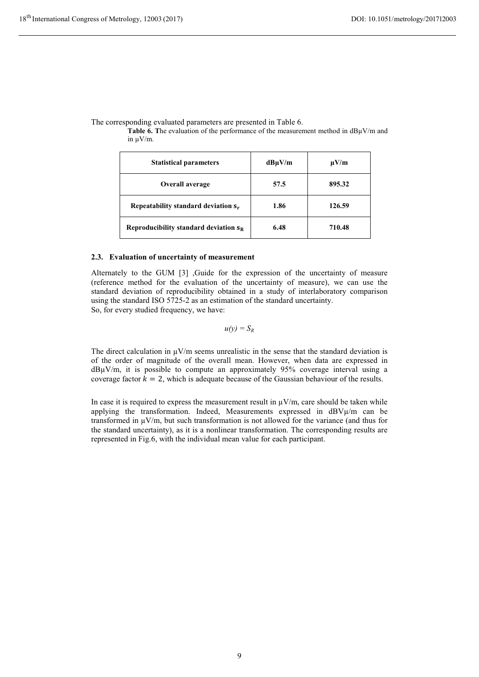The corresponding evaluated parameters are presented in Table 6.

**Table 6.** The evaluation of the performance of the measurement method in dBuV/m and in µV/m.

| <b>Statistical parameters</b>                   | $dB\mu V/m$ | $\mu V/m$ |
|-------------------------------------------------|-------------|-----------|
| Overall average                                 | 57.5        | 895.32    |
| Repeatability standard deviation s <sub>r</sub> | 1.86        | 126.59    |
| Reproducibility standard deviation $s_{R}$      | 6.48        | 710.48    |

#### **2.3. Evaluation of uncertainty of measurement**

Alternately to the GUM [3] ,Guide for the expression of the uncertainty of measure (reference method for the evaluation of the uncertainty of measure), we can use the standard deviation of reproducibility obtained in a study of interlaboratory comparison using the standard ISO 5725-2 as an estimation of the standard uncertainty. So, for every studied frequency, we have:

$$
u(y)=S_R
$$

The direct calculation in  $\mu$ V/m seems unrealistic in the sense that the standard deviation is of the order of magnitude of the overall mean. However, when data are expressed in  $d$ B $\mu$ V/m, it is possible to compute an approximately 95% coverage interval using a coverage factor  $k=2$ , which is adequate because of the Gaussian behaviour of the results.

In case it is required to express the measurement result in  $\mu V/m$ , care should be taken while applying the transformation. Indeed, Measurements expressed in dBVµ/m can be transformed in  $\mu$ V/m, but such transformation is not allowed for the variance (and thus for the standard uncertainty), as it is a nonlinear transformation. The corresponding results are represented in Fig.6, with the individual mean value for each participant.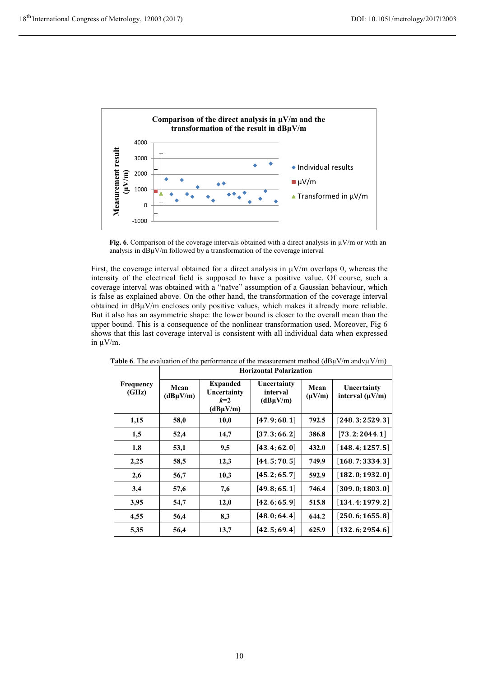

**Fig. 6**. Comparison of the coverage intervals obtained with a direct analysis in  $\mu$ V/m or with an analysis in  $dB\mu V/m$  followed by a transformation of the coverage interval

First, the coverage interval obtained for a direct analysis in  $\mu$ V/m overlaps 0, whereas the intensity of the electrical field is supposed to have a positive value. Of course, such a coverage interval was obtained with a "naïve" assumption of a Gaussian behaviour, which is false as explained above. On the other hand, the transformation of the coverage interval obtained in dBµV/m encloses only positive values, which makes it already more reliable. But it also has an asymmetric shape: the lower bound is closer to the overall mean than the upper bound. This is a consequence of the nonlinear transformation used. Moreover, Fig 6 shows that this last coverage interval is consistent with all individual data when expressed in µV/m.

|                           | <b>Horizontal Polarization</b> |                                                          |                                          |                     |                                     |  |
|---------------------------|--------------------------------|----------------------------------------------------------|------------------------------------------|---------------------|-------------------------------------|--|
| <b>Frequency</b><br>(GHz) | Mean<br>$(dB\mu V/m)$          | <b>Expanded</b><br>Uncertainty<br>$k=2$<br>$(dB\mu V/m)$ | Uncertainty<br>interval<br>$(dB\mu V/m)$ | Mean<br>$(\mu V/m)$ | Uncertainty<br>interval $(\mu V/m)$ |  |
| 1,15                      | 58,0                           | 10,0                                                     | [47.9; 68.1]                             | 792.5               | [248.3; 2529.3]                     |  |
| 1,5                       | 52,4                           | 14,7                                                     | [37.3; 66.2]                             | 386.8               | [73.2; 2044.1]                      |  |
| 1,8                       | 53,1                           | 9,5                                                      | [43.4; 62.0]                             | 432.0               | [148.4; 1257.5]                     |  |
| 2,25                      | 58,5                           | 12,3                                                     | [44.5; 70.5]                             | 749.9               | [168.7; 3334.3]                     |  |
| 2,6                       | 56,7                           | 10,3                                                     | [45.2; 65.7]                             | 592.9               | [182.0; 1932.0]                     |  |
| 3,4                       | 57,6                           | 7,6                                                      | [49.8; 65.1]                             | 746.4               | [309.0; 1803.0]                     |  |
| 3,95                      | 54,7                           | 12,0                                                     | [42.6; 65.9]                             | 515.8               | [134.4; 1979.2]                     |  |
| 4,55                      | 56,4                           | 8,3                                                      | [48.0; 64.4]                             | 644.2               | [250.6; 1655.8]                     |  |
| 5,35                      | 56,4                           | 13,7                                                     | [42.5; 69.4]                             | 625.9               | [132.6; 2954.6]                     |  |

**Table 6**. The evaluation of the performance of the measurement method  $(dB\mu V/m$  andv $\mu V/m$ )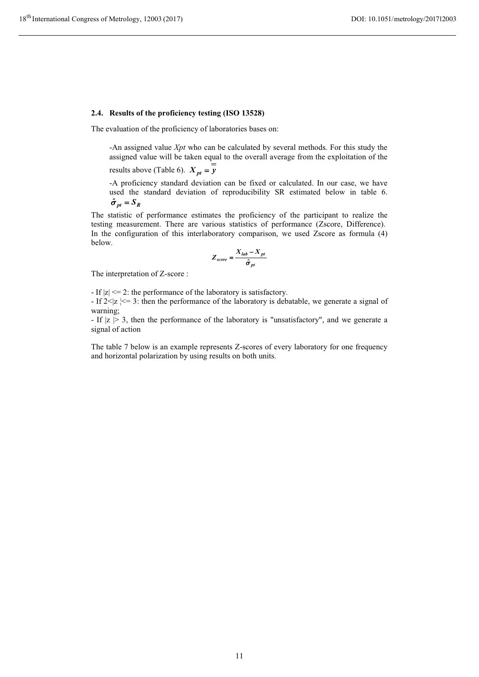#### **2.4. Results of the proficiency testing (ISO 13528)**

The evaluation of the proficiency of laboratories bases on:

-An assigned value *Xpt* who can be calculated by several methods. For this study the assigned value will be taken equal to the overall average from the exploitation of the

results above (Table 6).  $X_{pt} = y$ 

-A proficiency standard deviation can be fixed or calculated. In our case, we have used the standard deviation of reproducibility SR estimated below in table 6.  $\hat{\sigma}_{pt} = S_R$ 

The statistic of performance estimates the proficiency of the participant to realize the testing measurement. There are various statistics of performance (Zscore, Difference). In the configuration of this interlaboratory comparison, we used Zscore as formula (4) below.

$$
Z_{score} = \frac{X_{lab} - X_{pt}}{\hat{\sigma}_{pt}}
$$

The interpretation of Z-score :

- If |z| <= 2: the performance of the laboratory is satisfactory.

- If  $2 \le |z| \le 3$ : then the performance of the laboratory is debatable, we generate a signal of warning;

- If  $|z| > 3$ , then the performance of the laboratory is "unsatisfactory", and we generate a signal of action

The table 7 below is an example represents Z-scores of every laboratory for one frequency and horizontal polarization by using results on both units.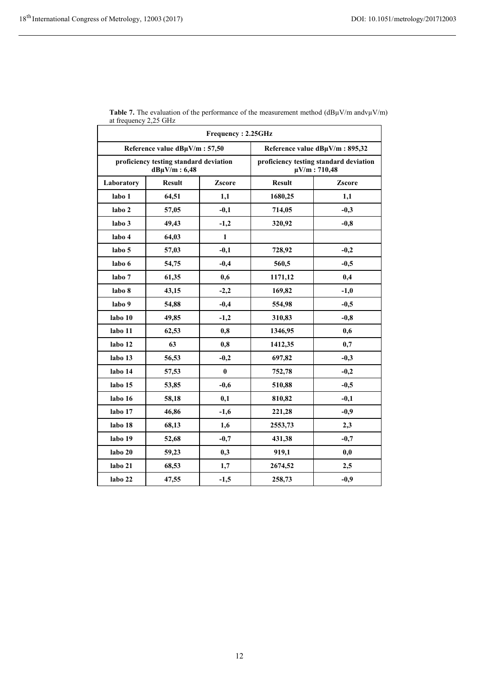| $\mathbf{u}$ noquence |                                                             | Frequency: 2.25GHz |                                                             |        |
|-----------------------|-------------------------------------------------------------|--------------------|-------------------------------------------------------------|--------|
|                       | Reference value dBµV/m: 57,50                               |                    | Reference value dBµV/m: 895,32                              |        |
|                       | proficiency testing standard deviation<br>$dB\mu V/m: 6,48$ |                    | proficiency testing standard deviation<br>$\mu$ V/m: 710,48 |        |
| Laboratory            | <b>Result</b>                                               | Zscore             | <b>Result</b>                                               | Zscore |
| labo 1                | 64,51                                                       | 1,1                | 1680,25                                                     | 1,1    |
| labo 2                | 57,05                                                       | $-0,1$             | 714,05                                                      | $-0,3$ |
| labo 3                | 49,43                                                       | $-1,2$             | 320,92                                                      | $-0,8$ |
| labo 4                | 64,03                                                       | $\mathbf{1}$       |                                                             |        |
| labo 5                | 57,03                                                       | $-0,1$             | 728,92                                                      | $-0,2$ |
| labo 6                | 54,75                                                       | $-0,4$             | 560,5                                                       | $-0,5$ |
| labo 7                | 61,35                                                       | 0,6                | 1171,12                                                     | 0,4    |
| labo 8                | 43,15                                                       | $-2,2$             | 169,82                                                      | $-1,0$ |
| labo 9                | 54,88                                                       | $-0,4$             | 554,98                                                      | $-0,5$ |
| labo 10               | 49,85                                                       | $-1,2$             | 310,83                                                      | $-0,8$ |
| labo 11               | 62,53                                                       | 0,8                | 1346,95                                                     | 0,6    |
| labo 12               | 63                                                          | 0,8                | 1412,35                                                     | 0,7    |
| labo 13               | 56,53                                                       | $-0,2$             | 697,82                                                      | $-0,3$ |
| labo 14               | 57,53                                                       | $\bf{0}$           | 752,78                                                      | $-0,2$ |
| labo 15               | 53,85                                                       | $-0,6$             | 510,88                                                      | $-0,5$ |
| labo 16               | 58,18                                                       | 0,1                | 810,82                                                      | $-0,1$ |
| labo 17               | 46,86                                                       | $-1,6$             | 221,28                                                      | $-0,9$ |
| labo 18               | 68,13                                                       | 1,6                | 2553,73                                                     | 2,3    |
| labo 19               | 52,68                                                       | $-0,7$             | 431,38                                                      | $-0,7$ |
| labo 20               | 59,23                                                       | 0,3                | 919,1                                                       | 0,0    |
| labo 21               | 68,53                                                       | 1,7                | 2674,52                                                     | 2,5    |
| labo 22               | 47,55                                                       | $-1,5$             | 258,73                                                      | $-0,9$ |

| <b>Table 7.</b> The evaluation of the performance of the measurement method $(dB\mu V/m \text{ and } v\mu V/m)$ |  |
|-----------------------------------------------------------------------------------------------------------------|--|
| at frequency 2,25 GHz                                                                                           |  |
|                                                                                                                 |  |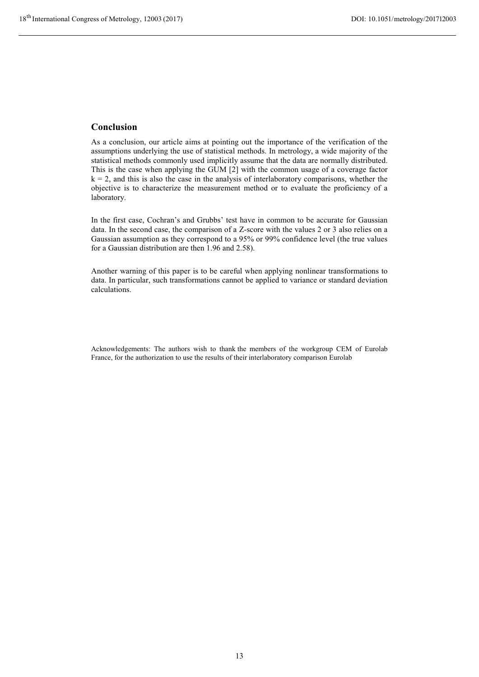# **Conclusion**

As a conclusion, our article aims at pointing out the importance of the verification of the assumptions underlying the use of statistical methods. In metrology, a wide majority of the statistical methods commonly used implicitly assume that the data are normally distributed. This is the case when applying the GUM [2] with the common usage of a coverage factor  $k = 2$ , and this is also the case in the analysis of interlaboratory comparisons, whether the objective is to characterize the measurement method or to evaluate the proficiency of a laboratory.

In the first case, Cochran's and Grubbs' test have in common to be accurate for Gaussian data. In the second case, the comparison of a Z-score with the values 2 or 3 also relies on a Gaussian assumption as they correspond to a 95% or 99% confidence level (the true values for a Gaussian distribution are then 1.96 and 2.58).

Another warning of this paper is to be careful when applying nonlinear transformations to data. In particular, such transformations cannot be applied to variance or standard deviation calculations.

Acknowledgements: The authors wish to thank the members of the workgroup CEM of Eurolab France, for the authorization to use the results of their interlaboratory comparison Eurolab